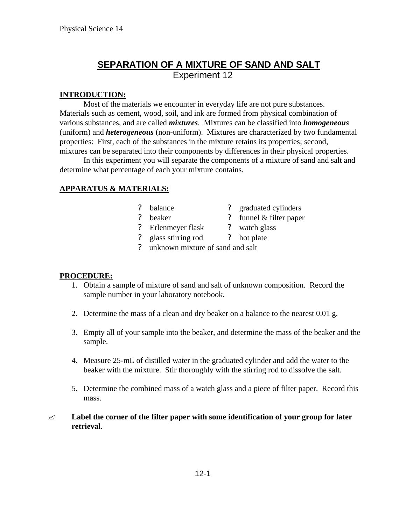# **SEPARATION OF A MIXTURE OF SAND AND SALT** Experiment 12

## **INTRODUCTION:**

Most of the materials we encounter in everyday life are not pure substances. Materials such as cement, wood, soil, and ink are formed from physical combination of various substances, and are called *mixtures*. Mixtures can be classified into *homogeneous* (uniform) and *heterogeneous* (non-uniform). Mixtures are characterized by two fundamental properties: First, each of the substances in the mixture retains its properties; second, mixtures can be separated into their components by differences in their physical properties.

In this experiment you will separate the components of a mixture of sand and salt and determine what percentage of each your mixture contains.

## **APPARATUS & MATERIALS:**

- ? balance ? graduated cylinders
	-
- ? beaker ? funnel & filter paper
- ? Erlenmeyer flask ? watch glass
- ? glass stirring rod ? hot plate
- ? unknown mixture of sand and salt

## **PROCEDURE:**

- 1. Obtain a sample of mixture of sand and salt of unknown composition. Record the sample number in your laboratory notebook.
- 2. Determine the mass of a clean and dry beaker on a balance to the nearest 0.01 g.
- 3. Empty all of your sample into the beaker, and determine the mass of the beaker and the sample.
- 4. Measure 25-mL of distilled water in the graduated cylinder and add the water to the beaker with the mixture. Stir thoroughly with the stirring rod to dissolve the salt.
- 5. Determine the combined mass of a watch glass and a piece of filter paper. Record this mass.
- ? **Label the corner of the filter paper with some identification of your group for later retrieval**.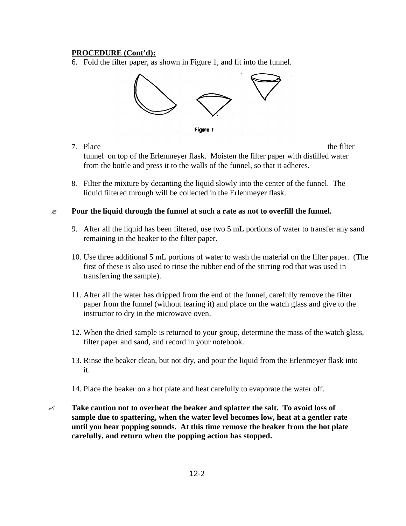#### **PROCEDURE (Cont'd):**

6. Fold the filter paper, as shown in Figure 1, and fit into the funnel.



- Figure 1
- 7. Place the filter funnel on top of the Erlenmeyer flask. Moisten the filter paper with distilled water from the bottle and press it to the walls of the funnel, so that it adheres.
- 8. Filter the mixture by decanting the liquid slowly into the center of the funnel. The liquid filtered through will be collected in the Erlenmeyer flask.
- $\mathscr{\mathscr{L}}$  Pour the liquid through the funnel at such a rate as not to overfill the funnel.
	- 9. After all the liquid has been filtered, use two 5 mL portions of water to transfer any sand remaining in the beaker to the filter paper.
	- 10. Use three additional 5 mL portions of water to wash the material on the filter paper. (The first of these is also used to rinse the rubber end of the stirring rod that was used in transferring the sample).
	- 11. After all the water has dripped from the end of the funnel, carefully remove the filter paper from the funnel (without tearing it) and place on the watch glass and give to the instructor to dry in the microwave oven.
	- 12. When the dried sample is returned to your group, determine the mass of the watch glass, filter paper and sand, and record in your notebook.
	- 13. Rinse the beaker clean, but not dry, and pour the liquid from the Erlenmeyer flask into it.
	- 14. Place the beaker on a hot plate and heat carefully to evaporate the water off.
- ? **Take caution not to overheat the beaker and splatter the salt. To avoid loss of sample due to spattering, when the water level becomes low, heat at a gentler rate until you hear popping sounds. At this time remove the beaker from the hot plate carefully, and return when the popping action has stopped.**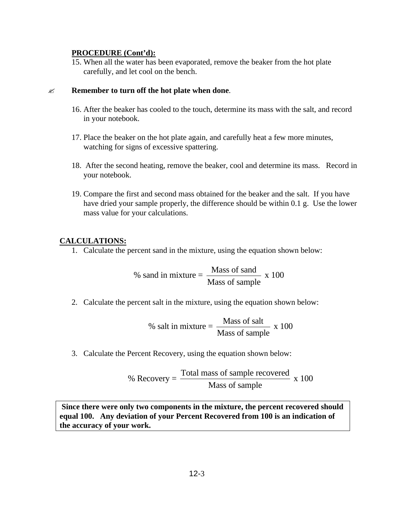#### **PROCEDURE (Cont'd):**

15. When all the water has been evaporated, remove the beaker from the hot plate carefully, and let cool on the bench.

#### ? **Remember to turn off the hot plate when done**.

- 16. After the beaker has cooled to the touch, determine its mass with the salt, and record in your notebook.
- 17. Place the beaker on the hot plate again, and carefully heat a few more minutes, watching for signs of excessive spattering.
- 18. After the second heating, remove the beaker, cool and determine its mass. Record in your notebook.
- 19. Compare the first and second mass obtained for the beaker and the salt. If you have have dried your sample properly, the difference should be within 0.1 g. Use the lower mass value for your calculations.

#### **CALCULATIONS:**

1. Calculate the percent sand in the mixture, using the equation shown below:

% sand in mixture = 
$$
\frac{\text{Mass of sand}}{\text{Mass of sample}} \times 100
$$

2. Calculate the percent salt in the mixture, using the equation shown below:

% salt in mixture = 
$$
\frac{\text{Mass of salt}}{\text{Mass of sample}} \times 100
$$

3. Calculate the Percent Recovery, using the equation shown below:

% Recovery = 
$$
\frac{\text{Total mass of sample recovered}}{\text{Mass of sample}}
$$
 x 100

 **Since there were only two components in the mixture, the percent recovered should equal 100. Any deviation of your Percent Recovered from 100 is an indication of the accuracy of your work.**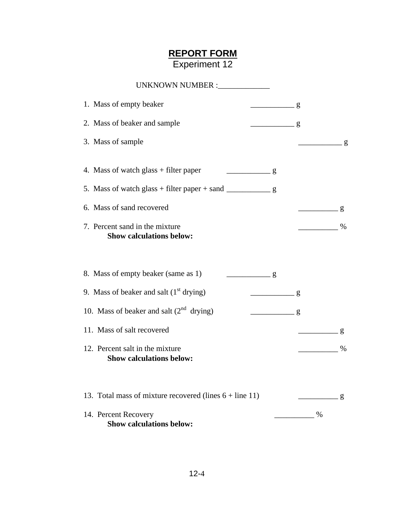## **REPORT FORM** Experiment 12

| UNKNOWN NUMBER :_____________                                      |                             |
|--------------------------------------------------------------------|-----------------------------|
| 1. Mass of empty beaker                                            | $rac{g}{g}$                 |
| 2. Mass of beaker and sample                                       | $\frac{1}{2}$ g             |
| 3. Mass of sample                                                  |                             |
| 4. Mass of watch glass + filter paper<br>$\frac{1}{2}$ g           |                             |
| 5. Mass of watch glass + filter paper + sand $\frac{ }{ }$ g       |                             |
| 6. Mass of sand recovered                                          | g<br>$\frac{1}{1}$          |
| 7. Percent sand in the mixture<br><b>Show calculations below:</b>  | $\sim$ $\sim$ $\sim$ $\sim$ |
| 8. Mass of empty beaker (same as 1)<br>$\frac{g}{g}$               |                             |
| 9. Mass of beaker and salt $(1st$ drying)                          | g                           |
| 10. Mass of beaker and salt $(2^{nd}$ drying)                      | $\frac{g}{g}$               |
| 11. Mass of salt recovered                                         | g                           |
| 12. Percent salt in the mixture<br><b>Show calculations below:</b> | $\%$                        |
| 13. Total mass of mixture recovered (lines $6 + line 11$ )         | g                           |
| 14. Percent Recovery<br><b>Show calculations below:</b>            | %                           |